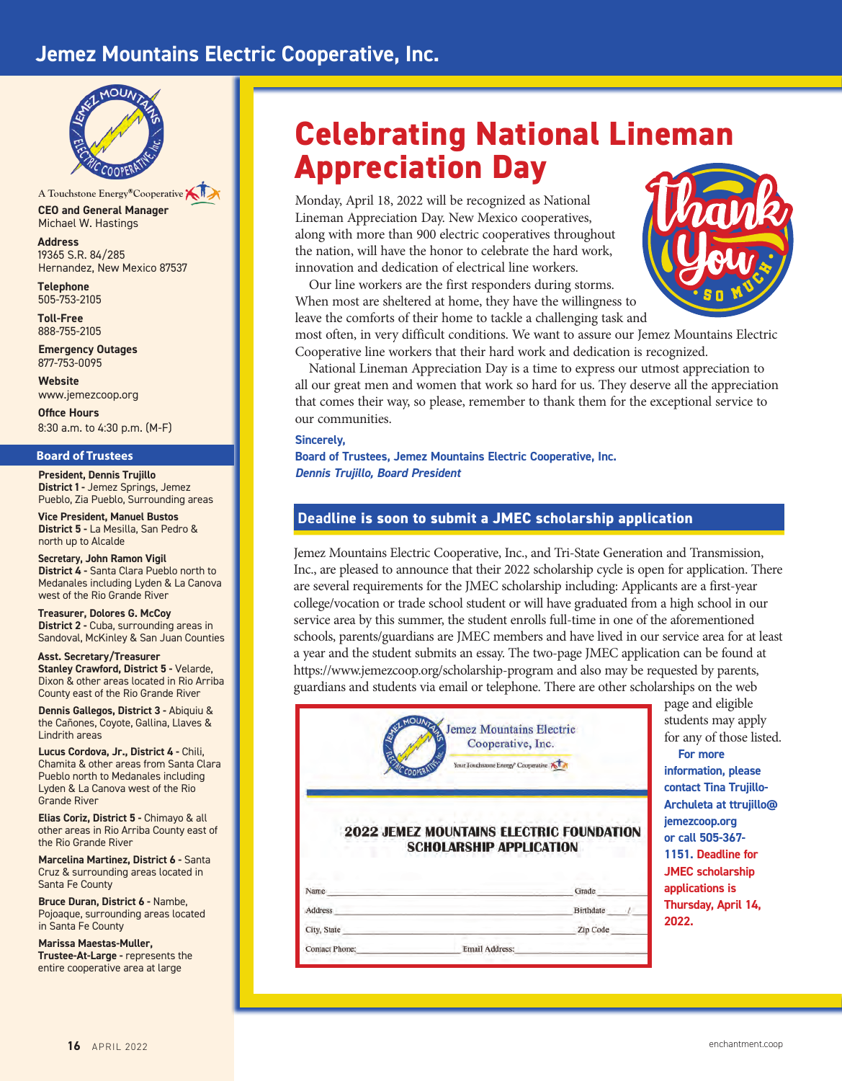# **Jemez Mountains Electric Cooperative, Inc.**



**CEO and General Manager** Michael W. Hastings A Touchstone Energy<sup>®</sup>Cooperative

**Address** 19365 S.R. 84/285 Hernandez, New Mexico 87537

**Telephone** 505-753-2105

**Toll-Free**  888-755-2105

**Emergency Outages** 877-753-0095

**Website** www.jemezcoop.org

**Office Hours** 8:30 a.m. to 4:30 p.m. (M-F)

#### **Board of Trustees**

**President, Dennis Trujillo District 1 -** Jemez Springs, Jemez Pueblo, Zia Pueblo, Surrounding areas

**Vice President, Manuel Bustos District 5 -** La Mesilla, San Pedro & north up to Alcalde

**Secretary, John Ramon Vigil District 4 -** Santa Clara Pueblo north to Medanales including Lyden & La Canova west of the Rio Grande River

**Treasurer, Dolores G. McCoy District 2 - Cuba, surrounding areas in** Sandoval, McKinley & San Juan Counties

**Asst. Secretary/Treasurer Stanley Crawford, District 5 - Velarde,** Dixon & other areas located in Rio Arriba County east of the Rio Grande River

**Dennis Gallegos, District 3 -** Abiquiu & the Cañones, Coyote, Gallina, Llaves & Lindrith areas

**Lucus Cordova, Jr., District 4 -** Chili, Chamita & other areas from Santa Clara Pueblo north to Medanales including Lyden & La Canova west of the Rio Grande River

**Elias Coriz, District 5 -** Chimayo & all other areas in Rio Arriba County east of the Rio Grande River

**Marcelina Martinez, District 6 -** Santa Cruz & surrounding areas located in Santa Fe County

**Bruce Duran, District 6 -** Nambe, Pojoaque, surrounding areas located in Santa Fe County

**Marissa Maestas-Muller, Trustee-At-Large - represents the** entire cooperative area at large

# **Celebrating National Lineman Appreciation Day**

Monday, April 18, 2022 will be recognized as National Lineman Appreciation Day. New Mexico cooperatives, along with more than 900 electric cooperatives throughout the nation, will have the honor to celebrate the hard work, innovation and dedication of electrical line workers.

Our line workers are the first responders during storms. When most are sheltered at home, they have the willingness to leave the comforts of their home to tackle a challenging task and



most often, in very difficult conditions. We want to assure our Jemez Mountains Electric Cooperative line workers that their hard work and dedication is recognized.

National Lineman Appreciation Day is a time to express our utmost appreciation to all our great men and women that work so hard for us. They deserve all the appreciation that comes their way, so please, remember to thank them for the exceptional service to our communities.

#### **Sincerely,**

**Board of Trustees, Jemez Mountains Electric Cooperative, Inc.** *Dennis Trujillo, Board President*

# **Deadline is soon to submit a JMEC scholarship application**

Jemez Mountains Electric Cooperative, Inc., and Tri-State Generation and Transmission, Inc., are pleased to announce that their 2022 scholarship cycle is open for application. There are several requirements for the JMEC scholarship including: Applicants are a first-year college/vocation or trade school student or will have graduated from a high school in our service area by this summer, the student enrolls full-time in one of the aforementioned schools, parents/guardians are JMEC members and have lived in our service area for at least a year and the student submits an essay. The two-page JMEC application can be found at https://www.jemezcoop.org/scholarship-program and also may be requested by parents, guardians and students via email or telephone. There are other scholarships on the web

|                                | <b>Jemez Mountains Electric</b><br>Cooperative, Inc.<br>Your Touchstone Energy <sup>®</sup> Cooperative |
|--------------------------------|---------------------------------------------------------------------------------------------------------|
|                                |                                                                                                         |
|                                | <b>2022 JEMEZ MOUNTAINS ELECTRIC FOUNDATION</b><br><b>SCHOLARSHIP APPLICATION</b>                       |
|                                | Grade                                                                                                   |
|                                | Birthdate                                                                                               |
| Name<br>Address<br>City, State | Zip Code                                                                                                |

page and eligible students may apply for any of those listed. **For more information, please contact Tina Trujillo-Archuleta at ttrujillo@ jemezcoop.org or call 505-367- 1151. Deadline for JMEC scholarship applications is** 

**Thursday, April 14, 2022.**